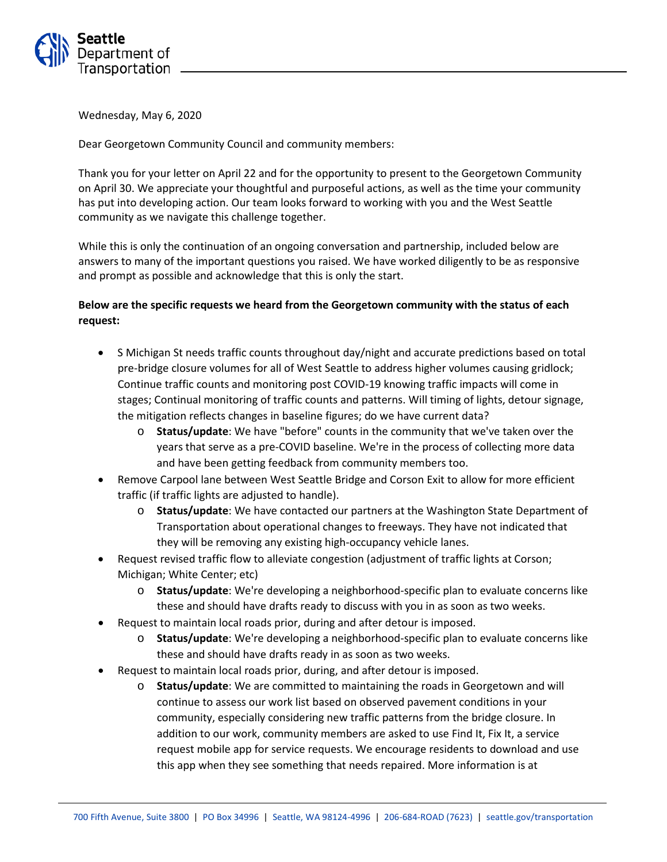

Wednesday, May 6, 2020

Dear Georgetown Community Council and community members:

Thank you for your letter on April 22 and for the opportunity to present to the Georgetown Community on April 30. We appreciate your thoughtful and purposeful actions, as well as the time your community has put into developing action. Our team looks forward to working with you and the West Seattle community as we navigate this challenge together.

While this is only the continuation of an ongoing conversation and partnership, included below are answers to many of the important questions you raised. We have worked diligently to be as responsive and prompt as possible and acknowledge that this is only the start.

## **Below are the specific requests we heard from the Georgetown community with the status of each request:**

- S Michigan St needs traffic counts throughout day/night and accurate predictions based on total pre-bridge closure volumes for all of West Seattle to address higher volumes causing gridlock; Continue traffic counts and monitoring post COVID-19 knowing traffic impacts will come in stages; Continual monitoring of traffic counts and patterns. Will timing of lights, detour signage, the mitigation reflects changes in baseline figures; do we have current data?
	- o **Status/update**: We have "before" counts in the community that we've taken over the years that serve as a pre-COVID baseline. We're in the process of collecting more data and have been getting feedback from community members too.
- Remove Carpool lane between West Seattle Bridge and Corson Exit to allow for more efficient traffic (if traffic lights are adjusted to handle).
	- o **Status/update**: We have contacted our partners at the Washington State Department of Transportation about operational changes to freeways. They have not indicated that they will be removing any existing high-occupancy vehicle lanes.
- Request revised traffic flow to alleviate congestion (adjustment of traffic lights at Corson; Michigan; White Center; etc)
	- o **Status/update**: We're developing a neighborhood-specific plan to evaluate concerns like these and should have drafts ready to discuss with you in as soon as two weeks.
- Request to maintain local roads prior, during and after detour is imposed.
	- o **Status/update**: We're developing a neighborhood-specific plan to evaluate concerns like these and should have drafts ready in as soon as two weeks.
- Request to maintain local roads prior, during, and after detour is imposed.
	- o **Status/update**: We are committed to maintaining the roads in Georgetown and will continue to assess our work list based on observed pavement conditions in your community, especially considering new traffic patterns from the bridge closure. In addition to our work, community members are asked to use Find It, Fix It, a service request mobile app for service requests. We encourage residents to download and use this app when they see something that needs repaired. More information is at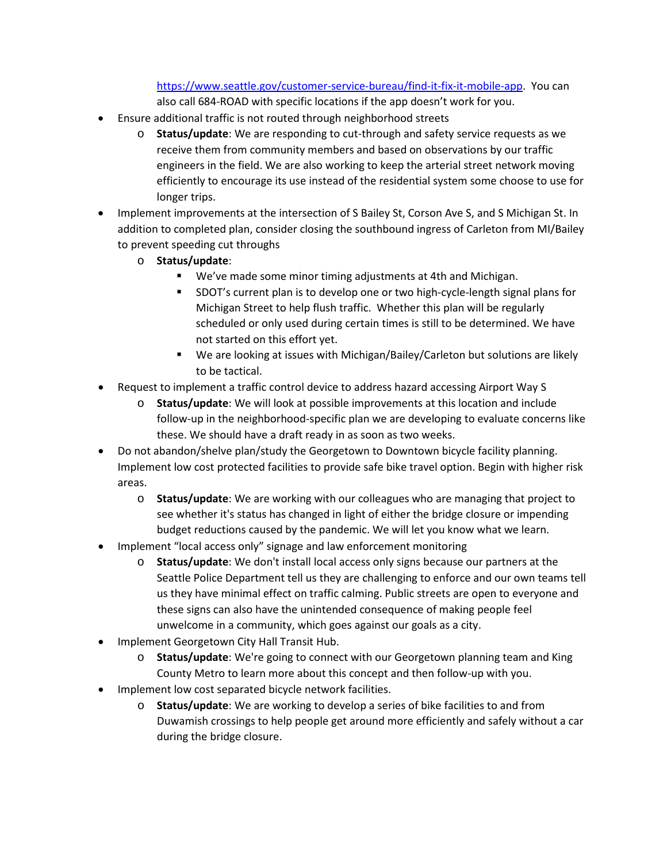[https://www.seattle.gov/customer-service-bureau/find-it-fix-it-mobile-app.](https://www.seattle.gov/customer-service-bureau/find-it-fix-it-mobile-app) You can also call 684-ROAD with specific locations if the app doesn't work for you.

- Ensure additional traffic is not routed through neighborhood streets
	- o **Status/update**: We are responding to cut-through and safety service requests as we receive them from community members and based on observations by our traffic engineers in the field. We are also working to keep the arterial street network moving efficiently to encourage its use instead of the residential system some choose to use for longer trips.
- Implement improvements at the intersection of S Bailey St, Corson Ave S, and S Michigan St. In addition to completed plan, consider closing the southbound ingress of Carleton from MI/Bailey to prevent speeding cut throughs
	- o **Status/update**:
		- We've made some minor timing adjustments at 4th and Michigan.
		- SDOT's current plan is to develop one or two high-cycle-length signal plans for Michigan Street to help flush traffic. Whether this plan will be regularly scheduled or only used during certain times is still to be determined. We have not started on this effort yet.
		- We are looking at issues with Michigan/Bailey/Carleton but solutions are likely to be tactical.
- Request to implement a traffic control device to address hazard accessing Airport Way S
	- o **Status/update**: We will look at possible improvements at this location and include follow-up in the neighborhood-specific plan we are developing to evaluate concerns like these. We should have a draft ready in as soon as two weeks.
- Do not abandon/shelve plan/study the Georgetown to Downtown bicycle facility planning. Implement low cost protected facilities to provide safe bike travel option. Begin with higher risk areas.
	- o **Status/update**: We are working with our colleagues who are managing that project to see whether it's status has changed in light of either the bridge closure or impending budget reductions caused by the pandemic. We will let you know what we learn.
- Implement "local access only" signage and law enforcement monitoring
	- o **Status/update**: We don't install local access only signs because our partners at the Seattle Police Department tell us they are challenging to enforce and our own teams tell us they have minimal effect on traffic calming. Public streets are open to everyone and these signs can also have the unintended consequence of making people feel unwelcome in a community, which goes against our goals as a city.
- Implement Georgetown City Hall Transit Hub.
	- o **Status/update**: We're going to connect with our Georgetown planning team and King County Metro to learn more about this concept and then follow-up with you.
- Implement low cost separated bicycle network facilities.
	- o **Status/update**: We are working to develop a series of bike facilities to and from Duwamish crossings to help people get around more efficiently and safely without a car during the bridge closure.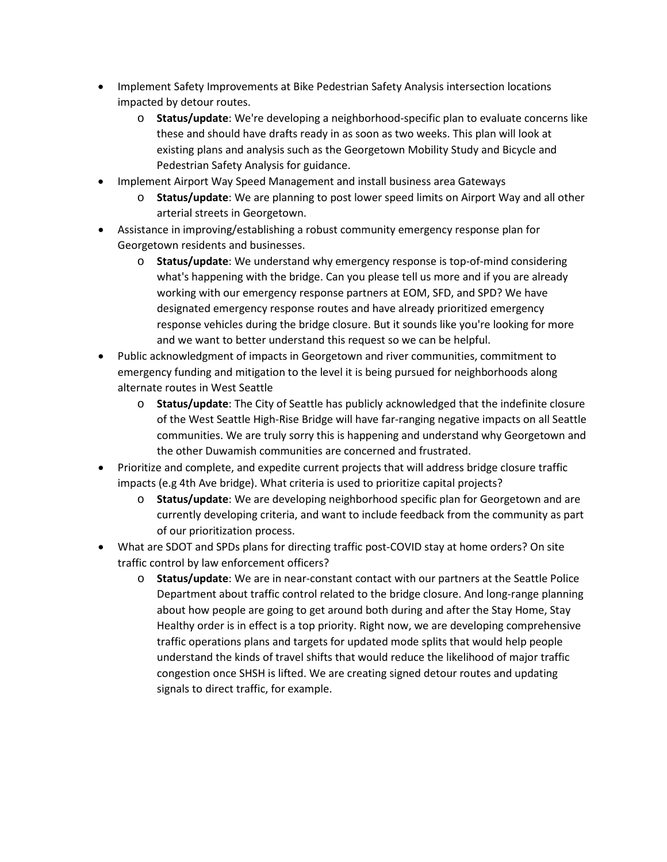- Implement Safety Improvements at Bike Pedestrian Safety Analysis intersection locations impacted by detour routes.
	- o **Status/update**: We're developing a neighborhood-specific plan to evaluate concerns like these and should have drafts ready in as soon as two weeks. This plan will look at existing plans and analysis such as the Georgetown Mobility Study and Bicycle and Pedestrian Safety Analysis for guidance.
- Implement Airport Way Speed Management and install business area Gateways
	- o **Status/update**: We are planning to post lower speed limits on Airport Way and all other arterial streets in Georgetown.
- Assistance in improving/establishing a robust community emergency response plan for Georgetown residents and businesses.
	- o **Status/update**: We understand why emergency response is top-of-mind considering what's happening with the bridge. Can you please tell us more and if you are already working with our emergency response partners at EOM, SFD, and SPD? We have designated emergency response routes and have already prioritized emergency response vehicles during the bridge closure. But it sounds like you're looking for more and we want to better understand this request so we can be helpful.
- Public acknowledgment of impacts in Georgetown and river communities, commitment to emergency funding and mitigation to the level it is being pursued for neighborhoods along alternate routes in West Seattle
	- o **Status/update**: The City of Seattle has publicly acknowledged that the indefinite closure of the West Seattle High-Rise Bridge will have far-ranging negative impacts on all Seattle communities. We are truly sorry this is happening and understand why Georgetown and the other Duwamish communities are concerned and frustrated.
- Prioritize and complete, and expedite current projects that will address bridge closure traffic impacts (e.g 4th Ave bridge). What criteria is used to prioritize capital projects?
	- o **Status/update**: We are developing neighborhood specific plan for Georgetown and are currently developing criteria, and want to include feedback from the community as part of our prioritization process.
- What are SDOT and SPDs plans for directing traffic post-COVID stay at home orders? On site traffic control by law enforcement officers?
	- o **Status/update**: We are in near-constant contact with our partners at the Seattle Police Department about traffic control related to the bridge closure. And long-range planning about how people are going to get around both during and after the Stay Home, Stay Healthy order is in effect is a top priority. Right now, we are developing comprehensive traffic operations plans and targets for updated mode splits that would help people understand the kinds of travel shifts that would reduce the likelihood of major traffic congestion once SHSH is lifted. We are creating signed detour routes and updating signals to direct traffic, for example.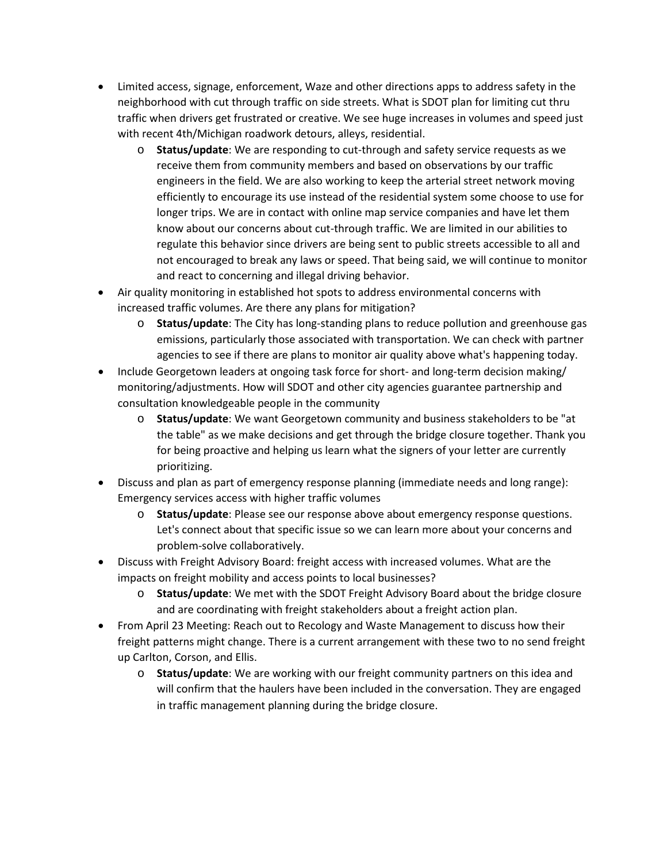- Limited access, signage, enforcement, Waze and other directions apps to address safety in the neighborhood with cut through traffic on side streets. What is SDOT plan for limiting cut thru traffic when drivers get frustrated or creative. We see huge increases in volumes and speed just with recent 4th/Michigan roadwork detours, alleys, residential.
	- o **Status/update**: We are responding to cut-through and safety service requests as we receive them from community members and based on observations by our traffic engineers in the field. We are also working to keep the arterial street network moving efficiently to encourage its use instead of the residential system some choose to use for longer trips. We are in contact with online map service companies and have let them know about our concerns about cut-through traffic. We are limited in our abilities to regulate this behavior since drivers are being sent to public streets accessible to all and not encouraged to break any laws or speed. That being said, we will continue to monitor and react to concerning and illegal driving behavior.
- Air quality monitoring in established hot spots to address environmental concerns with increased traffic volumes. Are there any plans for mitigation?
	- o **Status/update**: The City has long-standing plans to reduce pollution and greenhouse gas emissions, particularly those associated with transportation. We can check with partner agencies to see if there are plans to monitor air quality above what's happening today.
- Include Georgetown leaders at ongoing task force for short- and long-term decision making/ monitoring/adjustments. How will SDOT and other city agencies guarantee partnership and consultation knowledgeable people in the community
	- o **Status/update**: We want Georgetown community and business stakeholders to be "at the table" as we make decisions and get through the bridge closure together. Thank you for being proactive and helping us learn what the signers of your letter are currently prioritizing.
- Discuss and plan as part of emergency response planning (immediate needs and long range): Emergency services access with higher traffic volumes
	- o **Status/update**: Please see our response above about emergency response questions. Let's connect about that specific issue so we can learn more about your concerns and problem-solve collaboratively.
- Discuss with Freight Advisory Board: freight access with increased volumes. What are the impacts on freight mobility and access points to local businesses?
	- o **Status/update**: We met with the SDOT Freight Advisory Board about the bridge closure and are coordinating with freight stakeholders about a freight action plan.
- From April 23 Meeting: Reach out to Recology and Waste Management to discuss how their freight patterns might change. There is a current arrangement with these two to no send freight up Carlton, Corson, and Ellis.
	- o **Status/update**: We are working with our freight community partners on this idea and will confirm that the haulers have been included in the conversation. They are engaged in traffic management planning during the bridge closure.